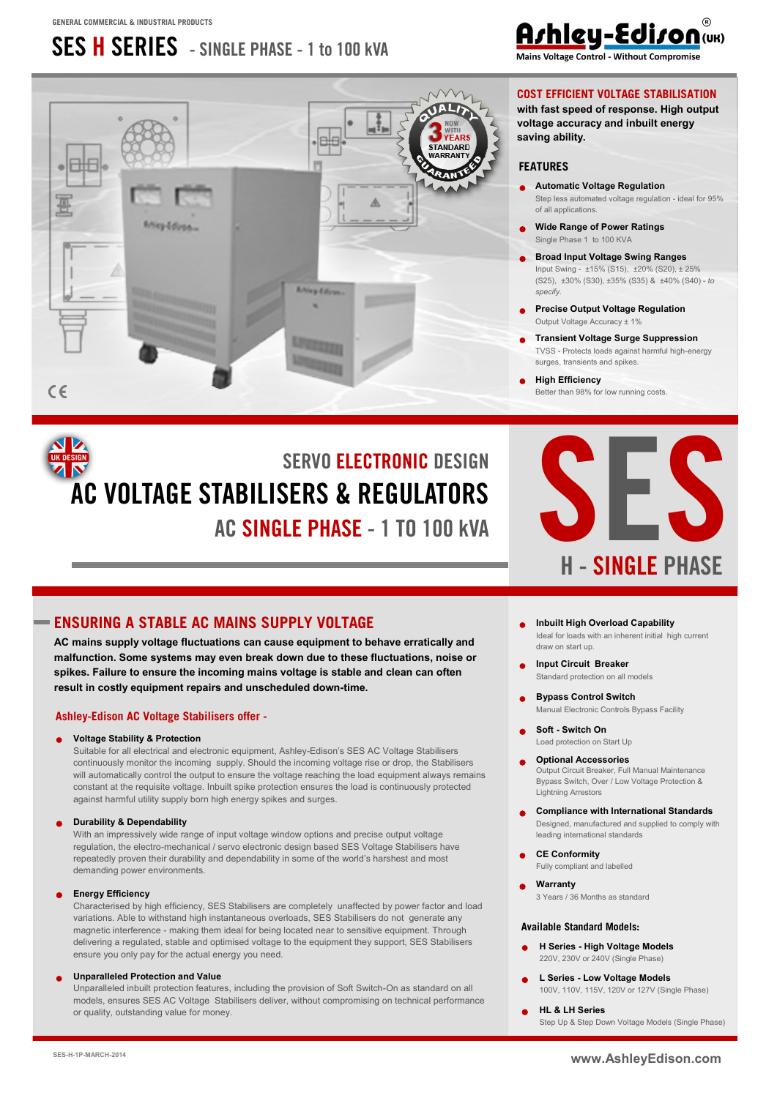# **SES H SERIES - SINGLE PHASE - 1 to 100 kVA**





#### **COST EFFICIENT VOLTAGE STABILISATION**

**with fast speed of response. High output voltage accuracy and inbuilt energy saving ability.**

#### **FEATURES**

- **Automatic Voltage Regulation** Step less automated voltage regulation - ideal for 95% of all applications.
- x **Wide Range of Power Ratings** Single Phase 1 to 100 KVA
- x **Broad Input Voltage Swing Ranges** Input Swing - ±15% (S15), ±20% (S20), ± 25% (S25), ±30% (S30), ±35% (S35) & ±40% (S40) - *to specify.*
- x **Precise Output Voltage Regulation**  Output Voltage Accuracy ± 1%
- **Transient Voltage Surge Suppression** TVSS - Protects loads against harmful high-energy surges, transients and spikes.
- x **High Efficiency**  Better than 98% for low running costs.

# **SERVO ELECTRONIC DESIGN AC VOLTAGE STABILISERS & REGULATORS AC SINGLE PHASE - 1 TO 100 kVA**



#### **ENSURING A STABLE AC MAINS SUPPLY VOLTAGE**

**AC mains supply voltage fluctuations can cause equipment to behave erratically and malfunction. Some systems may even break down due to these fluctuations, noise or spikes. Failure to ensure the incoming mains voltage is stable and clean can often result in costly equipment repairs and unscheduled down-time.**

#### **Ashley-Edison AC Voltage Stabilisers offer -**

#### x **Voltage Stability & Protection**

Suitable for all electrical and electronic equipment, Ashley-Edison's SES AC Voltage Stabilisers continuously monitor the incoming supply. Should the incoming voltage rise or drop, the Stabilisers will automatically control the output to ensure the voltage reaching the load equipment always remains constant at the requisite voltage. Inbuilt spike protection ensures the load is continuously protected against harmful utility supply born high energy spikes and surges.

#### x **Durability & Dependability**

With an impressively wide range of input voltage window options and precise output voltage regulation, the electro-mechanical / servo electronic design based SES Voltage Stabilisers have repeatedly proven their durability and dependability in some of the world's harshest and most demanding power environments.

#### x **Energy Efficiency**

Characterised by high efficiency, SES Stabilisers are completely unaffected by power factor and load variations. Able to withstand high instantaneous overloads, SES Stabilisers do not generate any magnetic interference - making them ideal for being located near to sensitive equipment. Through delivering a regulated, stable and optimised voltage to the equipment they support, SES Stabilisers ensure you only pay for the actual energy you need.

#### **Unparalleled Protection and Value**

Unparalleled inbuilt protection features, including the provision of Soft Switch-On as standard on all models, ensures SES AC Voltage Stabilisers deliver, without compromising on technical performance or quality, outstanding value for money.

- x **Inbuilt High Overload Capability** Ideal for loads with an inherent initial high current draw on start up.
- **Input Circuit Breaker** Standard protection on all models
- **Bypass Control Switch** Manual Electronic Controls Bypass Facility
- x **Soft - Switch On** Load protection on Start Up
- **Optional Accessories** Output Circuit Breaker, Full Manual Maintenance Bypass Switch, Over / Low Voltage Protection & Lightning Arrestors
- x **Compliance with International Standards**  Designed, manufactured and supplied to comply with leading international standards
- x **CE Conformity**  Fully compliant and labelled
- x **Warranty** 3 Years / 36 Months as standard

#### **Available Standard Models:**

- x **H Series - High Voltage Models** 220V, 230V or 240V (Single Phase)
- x **L Series - Low Voltage Models** [100V, 110V, 115V, 120V or 127V \(Single Phase\)](http://www.ashleyedison.com/dds/SES-L-All.pdf)
- x **[HL](http://www.ashleyedison.com/dds/SES-HL-S.pdf) [& LH Series](http://www.ashleyedison.com/dds/SES-LH-S.pdf)**  Step Up & Step Down Voltage Models (Single Phase)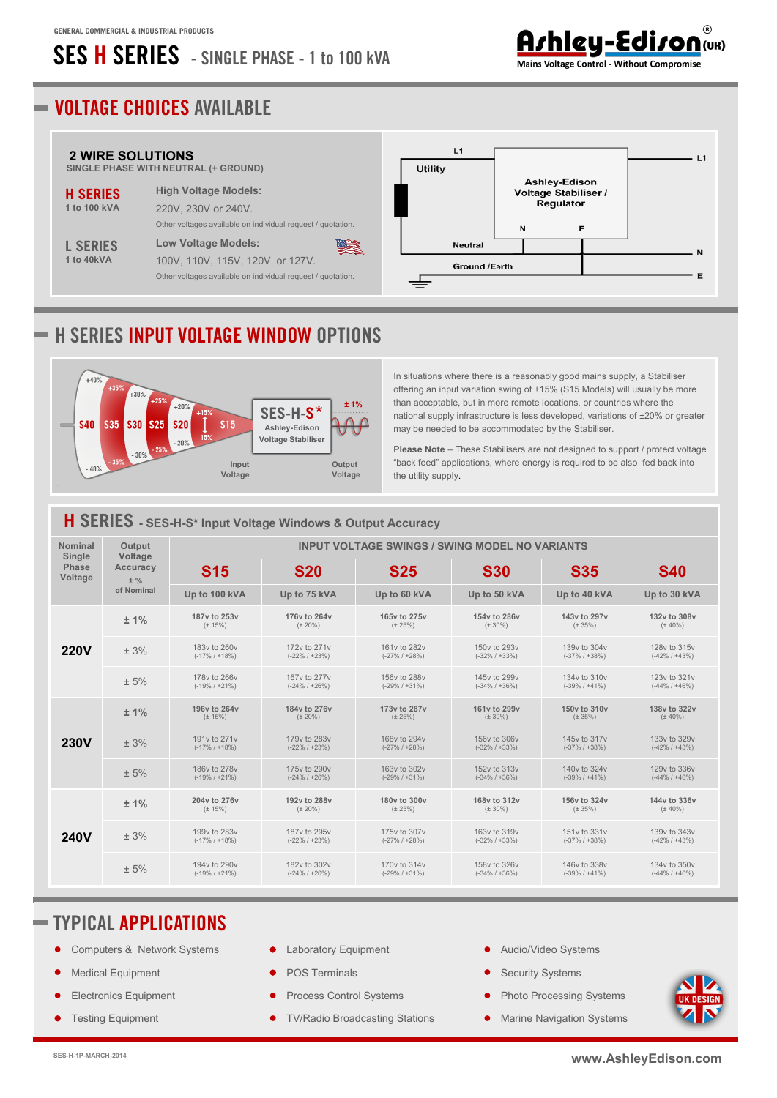# **SES H SERIES - SINGLE PHASE - 1 to 100 kVA**

#### <u> Arhley-Ediron (UK)</u> Mains Voltage Control - Without Compromise

## **VOLTAGE CHOICES AVAILABLE**



## **H SERIES INPUT VOLTAGE WINDOW OPTIONS**



In situations where there is a reasonably good mains supply, a Stabiliser offering an input variation swing of ±15% (S15 Models) will usually be more than acceptable, but in more remote locations, or countries where the national supply infrastructure is less developed, variations of ±20% or greater may be needed to be accommodated by the Stabiliser.

**Please Note** – These Stabilisers are not designed to support / protect voltage "back feed" applications, where energy is required to be also fed back into the utility supply.

|                          |                   |                                   | H SERIES - SES-H-S* Input Voltage Windows & Output Accuracy |                                                       |                                   |                                   |                                   |
|--------------------------|-------------------|-----------------------------------|-------------------------------------------------------------|-------------------------------------------------------|-----------------------------------|-----------------------------------|-----------------------------------|
| <b>Nominal</b><br>Single | Output<br>Voltage |                                   |                                                             | <b>INPUT VOLTAGE SWINGS / SWING MODEL NO VARIANTS</b> |                                   |                                   |                                   |
| <b>Phase</b><br>Voltage  | Accuracy<br>$±$ % | <b>S15</b>                        | <b>S20</b>                                                  | <b>S25</b>                                            | <b>S30</b>                        | <b>S35</b>                        | <b>S40</b>                        |
|                          | of Nominal        | Up to 100 kVA                     | Up to 75 kVA                                                | Up to 60 kVA                                          | Up to 50 kVA                      | Up to 40 kVA                      | Up to 30 kVA                      |
|                          | ± 1%              | 187y to 253y<br>$(\pm 15\%)$      | 176y to 264y<br>$(\pm 20\%)$                                | 165y to 275y<br>$(\pm 25%)$                           | 154y to 286y<br>$(\pm 30\%)$      | 143y to 297y<br>$(\pm 35\%)$      | 132v to 308v<br>$(\pm 40\%)$      |
| <b>220V</b>              | ± 3%              | 183y to 260y<br>$(-17\% / +18\%)$ | 172y to 271y<br>$(-22\% / +23\%)$                           | 161y to 282y<br>$(-27\% / +28\%)$                     | 150y to 293y<br>$(-32\% / +33\%)$ | 139y to 304y<br>$(-37\% / +38\%)$ | 128y to 315y<br>$(-42\% / +43\%)$ |
|                          | ± 5%              | 178y to 266y<br>$(-19\% / +21\%)$ | 167y to 277y<br>$(-24\% / +26\%)$                           | 156y to 288y<br>$(-29\% / +31\%)$                     | 145y to 299y<br>$(-34\% / +36\%)$ | 134y to 310y<br>$(-39\% / +41\%)$ | 123y to 321y<br>$(-44\% / +46\%)$ |
|                          | ± 1%              | 196y to 264y<br>$(\pm 15\%)$      | 184y to 276y<br>$(\pm 20\%)$                                | 173y to 287y<br>$(\pm 25%)$                           | 161v to 299v<br>$(\pm 30\%)$      | 150y to 310y<br>$(\pm 35\%)$      | 138v to 322v<br>$(\pm 40\%)$      |
| <b>230V</b>              | ± 3%              | 191y to 271y<br>$(-17\% / +18\%)$ | 179y to 283y<br>$(-22\% / +23\%)$                           | 168y to 294y<br>$(-27\% / +28\%)$                     | 156y to 306y<br>$(-32\% / +33\%)$ | 145y to 317y<br>$(-37\% / +38\%)$ | 133y to 329y<br>$(-42\% / +43\%)$ |
|                          | ± 5%              | 186y to 278y<br>$(-19\% / +21\%)$ | 175y to 290y<br>$(-24\% / +26\%)$                           | 163y to 302y<br>$(-29\% / +31\%)$                     | 152y to 313y<br>$(-34\% / +36\%)$ | 140y to 324y<br>$(-39\% / +41\%)$ | 129y to 336y<br>$(-44\% / +46\%)$ |
|                          | ± 1%              | 204y to 276y<br>$(\pm 15\%)$      | 192v to 288v<br>$(\pm 20\%)$                                | 180y to 300y<br>$(\pm 25\%)$                          | 168y to 312y<br>$(\pm 30\%)$      | 156y to 324y<br>$(\pm 35\%)$      | 144y to 336y<br>$(\pm 40\%)$      |
| <b>240V</b>              | ± 3%              | 199y to 283y<br>$(-17\% / +18\%)$ | 187y to 295y<br>$(-22\% / +23\%)$                           | 175y to 307y<br>$(-27\% / +28\%)$                     | 163y to 319y<br>$(-32\% / +33\%)$ | 151y to 331y<br>$(-37\% / +38\%)$ | 139y to 343y<br>$(-42\% / +43\%)$ |
|                          | ± 5%              | 194y to 290y<br>$(-19\% / +21\%)$ | 182y to 302y<br>$(-24\% / +26\%)$                           | 170y to 314y<br>$(-29\% / +31\%)$                     | 158y to 326y<br>$(-34\% / +36\%)$ | 146y to 338y<br>$(-39\% / +41\%)$ | 134y to 350y<br>$(-44\% / +46\%)$ |

#### **TYPICAL APPLICATIONS**

- Computers & Network Systems
- **Medical Equipment**
- Electronics Equipment
- **Testing Equipment**
- Laboratory Equipment
- POS Terminals
- Process Control Systems
- TV/Radio Broadcasting Stations
- **•** Audio/Video Systems
- Security Systems
- Photo Processing Systems
- Marine Navigation Systems

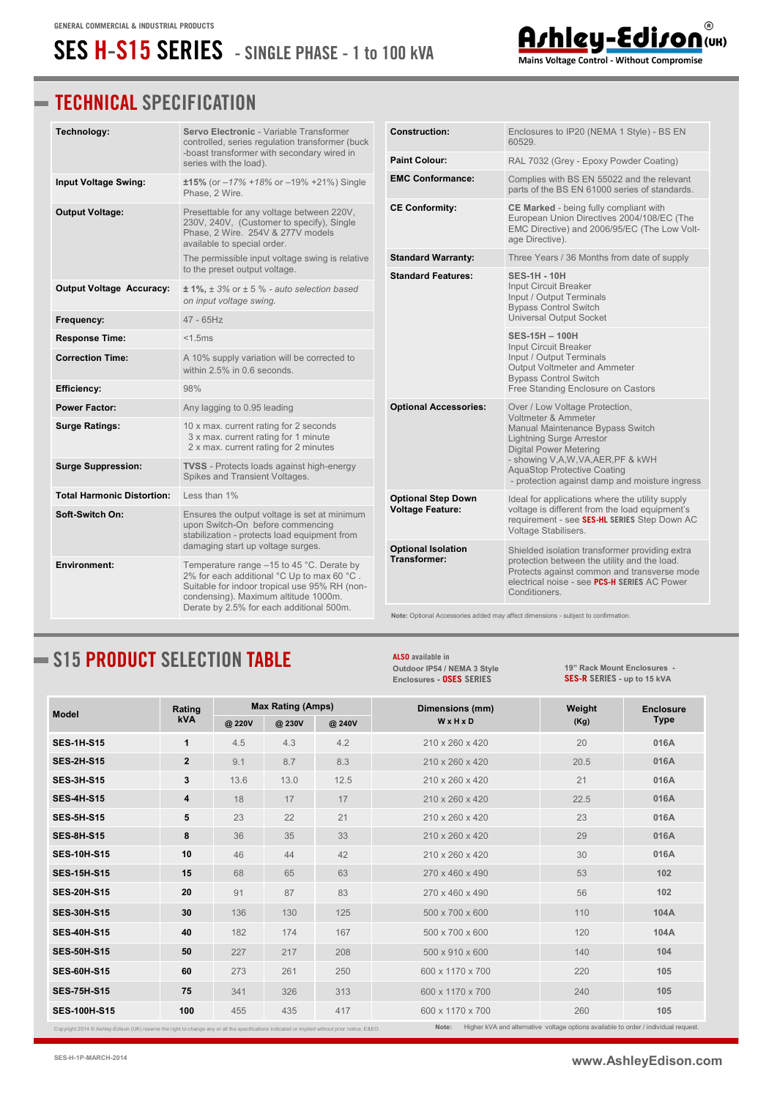# **SES H-S15 SERIES - SINGLE PHASE - 1 to 100 kVA**

### **TECHNICAL SPECIFICATION**

| Technology:                       | Servo Electronic - Variable Transformer<br>controlled, series regulation transformer (buck                                                                                                                                                                          | <b>Construction:</b>                      | Enclosures to IP20 (NEMA 1 Style) - BS EN<br>60529.                                                                                                                                                            |  |  |
|-----------------------------------|---------------------------------------------------------------------------------------------------------------------------------------------------------------------------------------------------------------------------------------------------------------------|-------------------------------------------|----------------------------------------------------------------------------------------------------------------------------------------------------------------------------------------------------------------|--|--|
|                                   | -boast transformer with secondary wired in<br>series with the load).                                                                                                                                                                                                | <b>Paint Colour:</b>                      | RAL 7032 (Grey - Epoxy Powder Coating)                                                                                                                                                                         |  |  |
| Input Voltage Swing:              | $±15\%$ (or $-17\% +18\%$ or $-19\% +21\%$ ) Single<br>Phase, 2 Wire.                                                                                                                                                                                               | <b>EMC Conformance:</b>                   | Complies with BS EN 55022 and the relevant<br>parts of the BS EN 61000 series of standards.                                                                                                                    |  |  |
| <b>Output Voltage:</b>            | Presettable for any voltage between 220V,<br>230V, 240V, (Customer to specify), Single<br>Phase, 2 Wire. 254V & 277V models<br>available to special order.                                                                                                          | <b>CE Conformity:</b>                     | CE Marked - being fully compliant with<br>European Union Directives 2004/108/EC (The<br>EMC Directive) and 2006/95/EC (The Low Volt-<br>age Directive).                                                        |  |  |
|                                   | The permissible input voltage swing is relative<br>to the preset output voltage.                                                                                                                                                                                    | <b>Standard Warranty:</b>                 | Three Years / 36 Months from date of supply                                                                                                                                                                    |  |  |
| <b>Output Voltage Accuracy:</b>   | $\pm$ 1%, $\pm$ 3% or $\pm$ 5 % - auto selection based<br>on input voltage swing.                                                                                                                                                                                   | <b>Standard Features:</b>                 | <b>SES-1H - 10H</b><br>Input Circuit Breaker<br>Input / Output Terminals<br><b>Bypass Control Switch</b>                                                                                                       |  |  |
| Frequency:                        | $47 - 65$ Hz                                                                                                                                                                                                                                                        |                                           | <b>Universal Output Socket</b>                                                                                                                                                                                 |  |  |
| <b>Response Time:</b>             | < 1.5ms                                                                                                                                                                                                                                                             |                                           | SES-15H - 100H<br><b>Input Circuit Breaker</b>                                                                                                                                                                 |  |  |
| <b>Correction Time:</b>           | A 10% supply variation will be corrected to<br>within 2.5% in 0.6 seconds.                                                                                                                                                                                          |                                           | Input / Output Terminals<br>Output Voltmeter and Ammeter<br><b>Bypass Control Switch</b>                                                                                                                       |  |  |
| <b>Efficiency:</b>                | 98%                                                                                                                                                                                                                                                                 |                                           | Free Standing Enclosure on Castors                                                                                                                                                                             |  |  |
| <b>Power Factor:</b>              | Any lagging to 0.95 leading                                                                                                                                                                                                                                         | <b>Optional Accessories:</b>              | Over / Low Voltage Protection,<br>Voltmeter & Ammeter                                                                                                                                                          |  |  |
| <b>Surge Ratings:</b>             | 10 x max. current rating for 2 seconds<br>3 x max. current rating for 1 minute<br>2 x max. current rating for 2 minutes                                                                                                                                             |                                           | Manual Maintenance Bypass Switch<br><b>Lightning Surge Arrestor</b><br><b>Digital Power Metering</b>                                                                                                           |  |  |
| <b>Surge Suppression:</b>         | <b>TVSS</b> - Protects loads against high-energy<br>Spikes and Transient Voltages.                                                                                                                                                                                  |                                           | - showing V,A,W,VA,AER,PF & kWH<br><b>AquaStop Protective Coating</b><br>- protection against damp and moisture ingress                                                                                        |  |  |
| <b>Total Harmonic Distortion:</b> | Less than $1\%$                                                                                                                                                                                                                                                     | <b>Optional Step Down</b>                 | Ideal for applications where the utility supply                                                                                                                                                                |  |  |
| Soft-Switch On:                   | Ensures the output voltage is set at minimum<br>upon Switch-On before commencing<br>stabilization - protects load equipment from                                                                                                                                    | <b>Voltage Feature:</b>                   | voltage is different from the load equipment's<br>requirement - see SES-HL SERIES Step Down AC<br>Voltage Stabilisers.                                                                                         |  |  |
| <b>Environment:</b>               | damaging start up voltage surges.<br>Temperature range $-15$ to 45 °C. Derate by<br>2% for each additional °C Up to max 60 °C.<br>Suitable for indoor tropical use 95% RH (non-<br>condensing). Maximum altitude 1000m.<br>Derate by 2.5% for each additional 500m. | <b>Optional Isolation</b><br>Transformer: | Shielded isolation transformer providing extra<br>protection between the utility and the load.<br>Protects against common and transverse mode<br>electrical noise - see PCS-H SERIES AC Power<br>Conditioners. |  |  |
|                                   |                                                                                                                                                                                                                                                                     |                                           | Note: Optional Accessories added may affect dimensions - subject to confirmation.                                                                                                                              |  |  |

## **S15 PRODUCT SELECTION TABLE**

**ALSO available in [Outdoor IP54 / NEMA 3 Style](http://www.ashleyedison.com/dds/OSES-H-S.pdf) Enclosures - OSES SERIES**

**[19" Rack Mount Enclosures](http://www.ashleyedison.com/dds/SES-H-R.pdf) - SES-R SERIES - up to 15 kVA**

| <b>Model</b>        | Rating       | <b>Max Rating (Amps)</b> |        |        | Dimensions (mm)  | Weight | <b>Enclosure</b> |
|---------------------|--------------|--------------------------|--------|--------|------------------|--------|------------------|
|                     | <b>kVA</b>   | @ 220V                   | @ 230V | @ 240V | WxHxD            | (Kg)   | <b>Type</b>      |
| <b>SES-1H-S15</b>   | 1            | 4.5                      | 4.3    | 4.2    | 210 x 260 x 420  | 20     | 016A             |
| <b>SES-2H-S15</b>   | $\mathbf{2}$ | 9.1                      | 8.7    | 8.3    | 210 x 260 x 420  | 20.5   | 016A             |
| <b>SES-3H-S15</b>   | 3            | 13.6                     | 13.0   | 12.5   | 210 x 260 x 420  | 21     | 016A             |
| <b>SES-4H-S15</b>   | 4            | 18                       | 17     | 17     | 210 x 260 x 420  | 22.5   | 016A             |
| <b>SES-5H-S15</b>   | 5            | 23                       | 22     | 21     | 210 x 260 x 420  | 23     | 016A             |
| <b>SES-8H-S15</b>   | 8            | 36                       | 35     | 33     | 210 x 260 x 420  | 29     | 016A             |
| <b>SES-10H-S15</b>  | 10           | 46                       | 44     | 42     | 210 x 260 x 420  | 30     | 016A             |
| <b>SES-15H-S15</b>  | 15           | 68                       | 65     | 63     | 270 x 460 x 490  | 53     | 102              |
| <b>SES-20H-S15</b>  | 20           | 91                       | 87     | 83     | 270 x 460 x 490  | 56     | 102              |
| <b>SES-30H-S15</b>  | 30           | 136                      | 130    | 125    | 500 x 700 x 600  | 110    | 104A             |
| <b>SES-40H-S15</b>  | 40           | 182                      | 174    | 167    | 500 x 700 x 600  | 120    | 104A             |
| <b>SES-50H-S15</b>  | 50           | 227                      | 217    | 208    | 500 x 910 x 600  | 140    | 104              |
| <b>SES-60H-S15</b>  | 60           | 273                      | 261    | 250    | 600 x 1170 x 700 | 220    | 105              |
| <b>SES-75H-S15</b>  | 75           | 341                      | 326    | 313    | 600 x 1170 x 700 | 240    | 105              |
| <b>SES-100H-S15</b> | 100          | 455                      | 435    | 417    | 600 x 1170 x 700 | 260    | 105              |

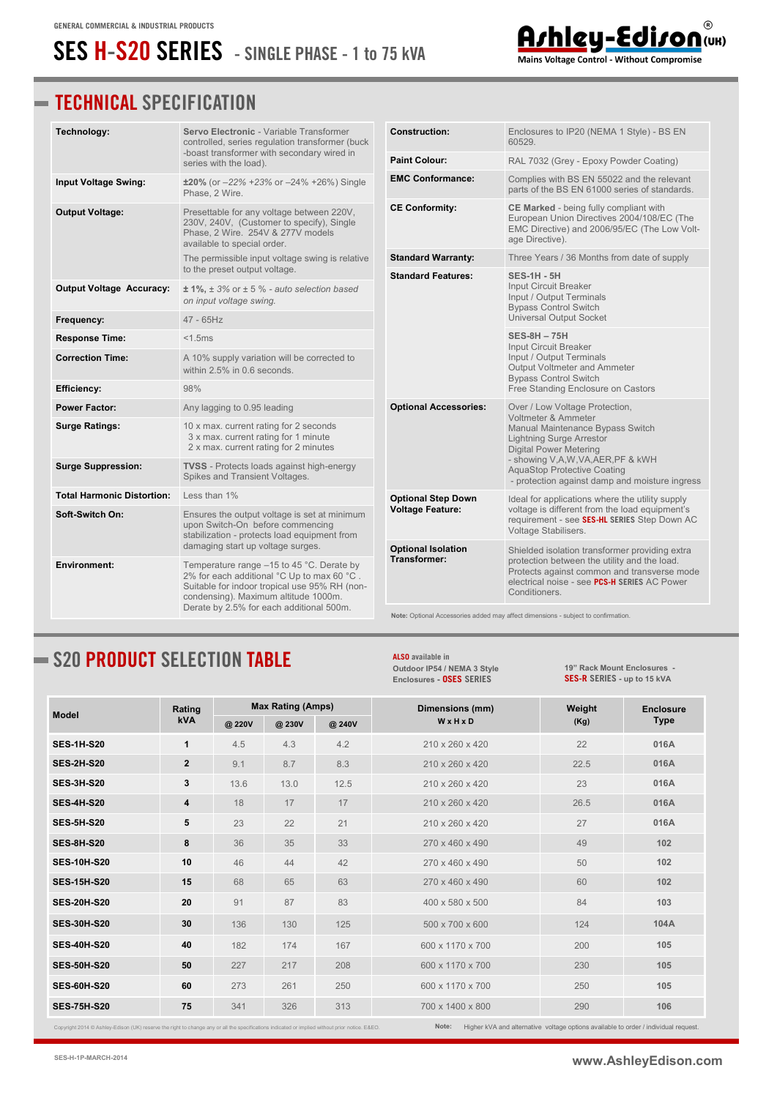## **SES H-S20 SERIES - SINGLE PHASE - 1 to 75 kVA**

### **TECHNICAL SPECIFICATION**

| Technology:                       | Servo Electronic - Variable Transformer<br>controlled, series regulation transformer (buck                                                                                                                                                                          | <b>Construction:</b>                      | Enclosures to IP20 (NEMA 1 Style) - BS EN<br>60529.                                                                                                                                                                                                                                                                                                                                                                                                                                                                                                                                                                                                                                                                                                                                                                                                                                                                                            |  |
|-----------------------------------|---------------------------------------------------------------------------------------------------------------------------------------------------------------------------------------------------------------------------------------------------------------------|-------------------------------------------|------------------------------------------------------------------------------------------------------------------------------------------------------------------------------------------------------------------------------------------------------------------------------------------------------------------------------------------------------------------------------------------------------------------------------------------------------------------------------------------------------------------------------------------------------------------------------------------------------------------------------------------------------------------------------------------------------------------------------------------------------------------------------------------------------------------------------------------------------------------------------------------------------------------------------------------------|--|
|                                   | -boast transformer with secondary wired in<br>series with the load).                                                                                                                                                                                                | <b>Paint Colour:</b>                      | RAL 7032 (Grey - Epoxy Powder Coating)                                                                                                                                                                                                                                                                                                                                                                                                                                                                                                                                                                                                                                                                                                                                                                                                                                                                                                         |  |
| <b>Input Voltage Swing:</b>       | $\pm 20\%$ (or $-22\%$ +23% or $-24\%$ +26%) Single<br>Phase, 2 Wire.                                                                                                                                                                                               | <b>EMC Conformance:</b>                   | Complies with BS EN 55022 and the relevant<br>parts of the BS EN 61000 series of standards.                                                                                                                                                                                                                                                                                                                                                                                                                                                                                                                                                                                                                                                                                                                                                                                                                                                    |  |
| <b>Output Voltage:</b>            | Presettable for any voltage between 220V,<br>230V, 240V, (Customer to specify), Single<br>Phase, 2 Wire. 254V & 277V models<br>available to special order.                                                                                                          | <b>CE Conformity:</b>                     | CE Marked - being fully compliant with<br>European Union Directives 2004/108/EC (The<br>EMC Directive) and 2006/95/EC (The Low Volt-<br>age Directive).                                                                                                                                                                                                                                                                                                                                                                                                                                                                                                                                                                                                                                                                                                                                                                                        |  |
|                                   | The permissible input voltage swing is relative<br>to the preset output voltage.                                                                                                                                                                                    | <b>Standard Warranty:</b>                 | Three Years / 36 Months from date of supply                                                                                                                                                                                                                                                                                                                                                                                                                                                                                                                                                                                                                                                                                                                                                                                                                                                                                                    |  |
| <b>Output Voltage Accuracy:</b>   | $\pm$ 1%, $\pm$ 3% or $\pm$ 5 % - auto selection based<br>on input voltage swing.                                                                                                                                                                                   | <b>Standard Features:</b>                 | <b>SES-1H - 5H</b><br><b>Input Circuit Breaker</b><br>Input / Output Terminals<br><b>Bypass Control Switch</b>                                                                                                                                                                                                                                                                                                                                                                                                                                                                                                                                                                                                                                                                                                                                                                                                                                 |  |
| Frequency:                        | 47 - 65Hz                                                                                                                                                                                                                                                           |                                           | <b>Universal Output Socket</b><br><b>SES-8H - 75H</b><br>Input Circuit Breaker<br>Input / Output Terminals<br>Output Voltmeter and Ammeter<br><b>Bypass Control Switch</b><br>Free Standing Enclosure on Castors<br>Over / Low Voltage Protection,<br>Voltmeter & Ammeter<br>Manual Maintenance Bypass Switch<br><b>Lightning Surge Arrestor</b><br><b>Digital Power Metering</b><br>- showing V,A,W,VA,AER,PF & kWH<br><b>AquaStop Protective Coating</b><br>Ideal for applications where the utility supply<br>voltage is different from the load equipment's<br>requirement - see SES-HL SERIES Step Down AC<br>Voltage Stabilisers.<br>Shielded isolation transformer providing extra<br>protection between the utility and the load.<br>Protects against common and transverse mode<br>electrical noise - see PCS-H SERIES AC Power<br>Conditioners.<br>Note: Optional Accessories added may affect dimensions - subject to confirmation. |  |
| <b>Response Time:</b>             | $<$ 1.5 $ms$                                                                                                                                                                                                                                                        |                                           |                                                                                                                                                                                                                                                                                                                                                                                                                                                                                                                                                                                                                                                                                                                                                                                                                                                                                                                                                |  |
| <b>Correction Time:</b>           | A 10% supply variation will be corrected to<br>within 2.5% in 0.6 seconds.                                                                                                                                                                                          |                                           |                                                                                                                                                                                                                                                                                                                                                                                                                                                                                                                                                                                                                                                                                                                                                                                                                                                                                                                                                |  |
| Efficiency:                       | 98%                                                                                                                                                                                                                                                                 | <b>Optional Accessories:</b>              |                                                                                                                                                                                                                                                                                                                                                                                                                                                                                                                                                                                                                                                                                                                                                                                                                                                                                                                                                |  |
| <b>Power Factor:</b>              | Any lagging to 0.95 leading                                                                                                                                                                                                                                         |                                           |                                                                                                                                                                                                                                                                                                                                                                                                                                                                                                                                                                                                                                                                                                                                                                                                                                                                                                                                                |  |
| Surge Ratings:                    | 10 x max. current rating for 2 seconds<br>3 x max. current rating for 1 minute<br>2 x max. current rating for 2 minutes                                                                                                                                             |                                           |                                                                                                                                                                                                                                                                                                                                                                                                                                                                                                                                                                                                                                                                                                                                                                                                                                                                                                                                                |  |
| <b>Surge Suppression:</b>         | <b>TVSS</b> - Protects loads against high-energy<br>Spikes and Transient Voltages.                                                                                                                                                                                  | <b>Optional Step Down</b>                 | - protection against damp and moisture ingress                                                                                                                                                                                                                                                                                                                                                                                                                                                                                                                                                                                                                                                                                                                                                                                                                                                                                                 |  |
| <b>Total Harmonic Distortion:</b> | Less than 1%                                                                                                                                                                                                                                                        |                                           |                                                                                                                                                                                                                                                                                                                                                                                                                                                                                                                                                                                                                                                                                                                                                                                                                                                                                                                                                |  |
| Soft-Switch On:                   | Ensures the output voltage is set at minimum<br>upon Switch-On before commencing<br>stabilization - protects load equipment from                                                                                                                                    | <b>Voltage Feature:</b>                   |                                                                                                                                                                                                                                                                                                                                                                                                                                                                                                                                                                                                                                                                                                                                                                                                                                                                                                                                                |  |
| Environment:                      | damaging start up voltage surges.<br>Temperature range $-15$ to 45 °C. Derate by<br>2% for each additional °C Up to max 60 °C.<br>Suitable for indoor tropical use 95% RH (non-<br>condensing). Maximum altitude 1000m.<br>Derate by 2.5% for each additional 500m. | <b>Optional Isolation</b><br>Transformer: |                                                                                                                                                                                                                                                                                                                                                                                                                                                                                                                                                                                                                                                                                                                                                                                                                                                                                                                                                |  |
|                                   |                                                                                                                                                                                                                                                                     |                                           |                                                                                                                                                                                                                                                                                                                                                                                                                                                                                                                                                                                                                                                                                                                                                                                                                                                                                                                                                |  |

### **S20 PRODUCT SELECTION TABLE**

**ALSO available in [Outdoor IP54 / NEMA 3 Style](http://www.ashleyedison.com/dds/OSES-H-S.pdf) Enclosures - OSES SERIES**

**[19" Rack Mount Enclosures](http://www.ashleyedison.com/dds/SES-H-R.pdf) - SES-R SERIES - up to 15 kVA**

 $^\copyright$ 

Arhieu - Ediron (UR)

| <b>Model</b>       | Rating         | <b>Max Rating (Amps)</b> |        |       | Dimensions (mm)  | Weight | <b>Enclosure</b> |
|--------------------|----------------|--------------------------|--------|-------|------------------|--------|------------------|
|                    | <b>kVA</b>     | @ 220V                   | @ 230V | @240V | WxHxD            | (Kg)   | <b>Type</b>      |
| <b>SES-1H-S20</b>  | 1              | 4.5                      | 4.3    | 4.2   | 210 x 260 x 420  | 22     | 016A             |
| <b>SES-2H-S20</b>  | $\overline{2}$ | 9.1                      | 8.7    | 8.3   | 210 x 260 x 420  | 22.5   | 016A             |
| <b>SES-3H-S20</b>  | 3              | 13.6                     | 13.0   | 12.5  | 210 x 260 x 420  | 23     | 016A             |
| <b>SES-4H-S20</b>  | 4              | 18                       | 17     | 17    | 210 x 260 x 420  | 26.5   | 016A             |
| <b>SES-5H-S20</b>  | 5              | 23                       | 22     | 21    | 210 x 260 x 420  | 27     | 016A             |
| <b>SES-8H-S20</b>  | 8              | 36                       | 35     | 33    | 270 x 460 x 490  | 49     | 102              |
| <b>SES-10H-S20</b> | 10             | 46                       | 44     | 42    | 270 x 460 x 490  | 50     | 102              |
| <b>SES-15H-S20</b> | 15             | 68                       | 65     | 63    | 270 x 460 x 490  | 60     | 102              |
| <b>SES-20H-S20</b> | 20             | 91                       | 87     | 83    | 400 x 580 x 500  | 84     | 103              |
| <b>SES-30H-S20</b> | 30             | 136                      | 130    | 125   | 500 x 700 x 600  | 124    | 104A             |
| <b>SES-40H-S20</b> | 40             | 182                      | 174    | 167   | 600 x 1170 x 700 | 200    | 105              |
| <b>SES-50H-S20</b> | 50             | 227                      | 217    | 208   | 600 x 1170 x 700 | 230    | 105              |
| <b>SES-60H-S20</b> | 60             | 273                      | 261    | 250   | 600 x 1170 x 700 | 250    | 105              |
| <b>SES-75H-S20</b> | 75             | 341                      | 326    | 313   | 700 x 1400 x 800 | 290    | 106              |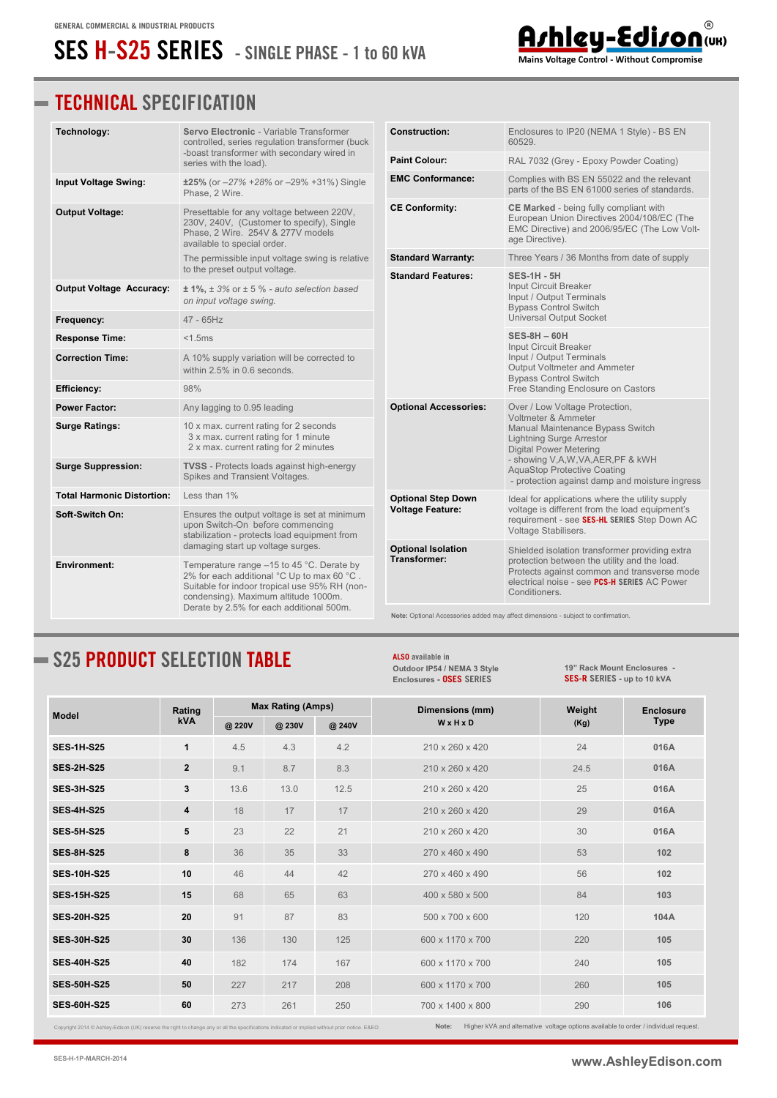## **SES H-S25 SERIES - SINGLE PHASE - 1 to 60 kVA**

#### **TECHNICAL SPECIFICATION**

| Technology:                       | Servo Electronic - Variable Transformer<br>controlled, series regulation transformer (buck                                                                                                                                                                          | <b>Construction:</b>                                                                           | Enclosures to IP20 (NEMA 1 Style) - BS EN<br>60529.                                                                                                                                                                                                                                                                                                                                                                                                                                                                                                                                                   |  |  |
|-----------------------------------|---------------------------------------------------------------------------------------------------------------------------------------------------------------------------------------------------------------------------------------------------------------------|------------------------------------------------------------------------------------------------|-------------------------------------------------------------------------------------------------------------------------------------------------------------------------------------------------------------------------------------------------------------------------------------------------------------------------------------------------------------------------------------------------------------------------------------------------------------------------------------------------------------------------------------------------------------------------------------------------------|--|--|
|                                   | -boast transformer with secondary wired in<br>series with the load).                                                                                                                                                                                                | <b>Paint Colour:</b>                                                                           | RAL 7032 (Grey - Epoxy Powder Coating)                                                                                                                                                                                                                                                                                                                                                                                                                                                                                                                                                                |  |  |
| Input Voltage Swing:              | ±25% (or -27% +28% or -29% +31%) Single<br>Phase, 2 Wire.                                                                                                                                                                                                           | <b>EMC Conformance:</b>                                                                        | Complies with BS EN 55022 and the relevant<br>parts of the BS EN 61000 series of standards.                                                                                                                                                                                                                                                                                                                                                                                                                                                                                                           |  |  |
| <b>Output Voltage:</b>            | Presettable for any voltage between 220V,<br>230V, 240V, (Customer to specify), Single<br>Phase, 2 Wire. 254V & 277V models<br>available to special order.                                                                                                          | <b>CE Conformity:</b>                                                                          | CE Marked - being fully compliant with<br>European Union Directives 2004/108/EC (The<br>EMC Directive) and 2006/95/EC (The Low Volt-<br>age Directive).                                                                                                                                                                                                                                                                                                                                                                                                                                               |  |  |
|                                   | The permissible input voltage swing is relative<br>to the preset output voltage.                                                                                                                                                                                    | <b>Standard Warranty:</b>                                                                      | Three Years / 36 Months from date of supply                                                                                                                                                                                                                                                                                                                                                                                                                                                                                                                                                           |  |  |
| <b>Output Voltage Accuracy:</b>   | $\pm$ 1%, $\pm$ 3% or $\pm$ 5 % - auto selection based<br>on input voltage swing.                                                                                                                                                                                   | <b>Standard Features:</b>                                                                      | <b>SES-1H - 5H</b><br>Input Circuit Breaker<br>Input / Output Terminals<br><b>Bypass Control Switch</b>                                                                                                                                                                                                                                                                                                                                                                                                                                                                                               |  |  |
| Frequency:                        | 47 - 65Hz                                                                                                                                                                                                                                                           |                                                                                                |                                                                                                                                                                                                                                                                                                                                                                                                                                                                                                                                                                                                       |  |  |
| <b>Response Time:</b>             | $<$ 1.5 $ms$                                                                                                                                                                                                                                                        |                                                                                                |                                                                                                                                                                                                                                                                                                                                                                                                                                                                                                                                                                                                       |  |  |
| <b>Correction Time:</b>           | A 10% supply variation will be corrected to<br>within 2.5% in 0.6 seconds.                                                                                                                                                                                          |                                                                                                | Input / Output Terminals<br>Output Voltmeter and Ammeter                                                                                                                                                                                                                                                                                                                                                                                                                                                                                                                                              |  |  |
| Efficiency:                       | 98%                                                                                                                                                                                                                                                                 | <b>Bypass Control Switch</b><br><b>Optional Accessories:</b><br>Over / Low Voltage Protection, | Free Standing Enclosure on Castors                                                                                                                                                                                                                                                                                                                                                                                                                                                                                                                                                                    |  |  |
| <b>Power Factor:</b>              | Any lagging to 0.95 leading                                                                                                                                                                                                                                         |                                                                                                |                                                                                                                                                                                                                                                                                                                                                                                                                                                                                                                                                                                                       |  |  |
| <b>Surge Ratings:</b>             | 10 x max. current rating for 2 seconds<br>3 x max. current rating for 1 minute<br>2 x max. current rating for 2 minutes                                                                                                                                             |                                                                                                | Manual Maintenance Bypass Switch<br><b>Lightning Surge Arrestor</b><br><b>Digital Power Metering</b>                                                                                                                                                                                                                                                                                                                                                                                                                                                                                                  |  |  |
| <b>Surge Suppression:</b>         | <b>TVSS</b> - Protects loads against high-energy<br>Spikes and Transient Voltages.                                                                                                                                                                                  |                                                                                                | Universal Output Socket<br><b>SES-8H-60H</b><br>Input Circuit Breaker<br>Voltmeter & Ammeter<br>- showing V,A,W,VA,AER,PF & kWH<br><b>AquaStop Protective Coating</b><br>- protection against damp and moisture ingress<br>Ideal for applications where the utility supply<br>voltage is different from the load equipment's<br>requirement - see SES-HL SERIES Step Down AC<br>Voltage Stabilisers.<br>Shielded isolation transformer providing extra<br>protection between the utility and the load.<br>Protects against common and transverse mode<br>electrical noise - see PCS-H SERIES AC Power |  |  |
| <b>Total Harmonic Distortion:</b> | Less than $1\%$                                                                                                                                                                                                                                                     | <b>Optional Step Down</b>                                                                      |                                                                                                                                                                                                                                                                                                                                                                                                                                                                                                                                                                                                       |  |  |
| Soft-Switch On:                   | Ensures the output voltage is set at minimum<br>upon Switch-On before commencing<br>stabilization - protects load equipment from                                                                                                                                    | <b>Voltage Feature:</b>                                                                        |                                                                                                                                                                                                                                                                                                                                                                                                                                                                                                                                                                                                       |  |  |
| Environment:                      | damaging start up voltage surges.<br>Temperature range $-15$ to 45 °C. Derate by<br>2% for each additional °C Up to max 60 °C.<br>Suitable for indoor tropical use 95% RH (non-<br>condensing). Maximum altitude 1000m.<br>Derate by 2.5% for each additional 500m. | <b>Optional Isolation</b><br>Transformer:                                                      | Conditioners.                                                                                                                                                                                                                                                                                                                                                                                                                                                                                                                                                                                         |  |  |
|                                   |                                                                                                                                                                                                                                                                     |                                                                                                | Note: Optional Accessories added may affect dimensions - subject to confirmation.                                                                                                                                                                                                                                                                                                                                                                                                                                                                                                                     |  |  |

### **S25 PRODUCT SELECTION TABLE**

**Model Rating kVA Max Rating (Amps) Dimensions (mm) W x H x D Weight (Kg) Enclosure Type @ 220V @ 230V @ 240V SES-1H-S25 1** 4.5 4.3 4.2 210 x 260 x 420 24 **016A SES-2H-S25 2** 9.1 8.7 8.3 210 x 260 x 420 24.5 **016A SES-3H-S25 3** 13.6 13.0 12.5 210 x 260 x 420 25 **016A SES-4H-S25 4** 18 17 17 210 x 260 x 420 29 **016A SES-5H-S25 5** 23 22 21 210 x 260 x 420 30 **016A SES-8H-S25 8** 36 35 33 270 x 460 x 490 53 **102 SES-10H-S25 10** 46 44 42 270 x 460 x 490 56 **102 SES-15H-S25 15** 68 65 63 400 x 580 x 500 84 **103 SES-20H-S25 20** 91 87 83 500 x 700 x 600 120 **104A SES-30H-S25 30** 136 130 125 600 x 1170 x 700 220 **105 SES-40H-S25 40** 182 174 167 600 x 1170 x 700 240 **105 SES-50H-S25 50** 227 217 208 600 x 1170 x 700 260 **105 SES-60H-S25 60** 273 261 250 700 x 1400 x 800 290 **106**

**ALSO available in** 

**[Outdoor IP54 / NEMA 3 Style](http://www.ashleyedison.com/dds/OSES-H-S.pdf) Enclosures - OSES SERIES**

Copyright 2014 © Ashley-Edison (UK) reserve the right to change any or all the specifications indicated or implied without prior notice. E&EO.

**[19" Rack Mount Enclosures](http://www.ashleyedison.com/dds/SES-H-R.pdf) - SES-R SERIES - up to 10 kVA**



Mains Voltage Control - Without Compromise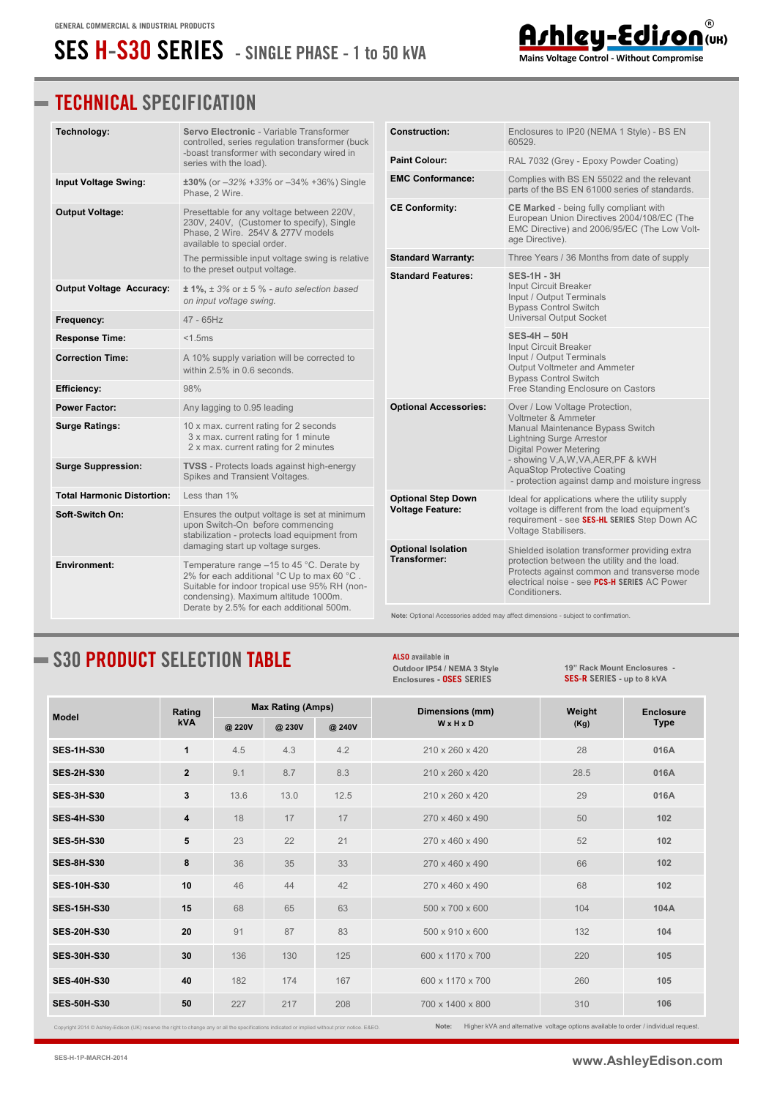# **SES H-S30 SERIES - SINGLE PHASE - 1 to 50 kVA**

#### **TECHNICAL SPECIFICATION**

| Technology:                       | Servo Electronic - Variable Transformer<br>controlled, series regulation transformer (buck                                                                                                                                                                          | <b>Construction:</b>                      | Enclosures to IP20 (NEMA 1 Style) - BS EN<br>60529.                                                                                                                                                            |  |  |
|-----------------------------------|---------------------------------------------------------------------------------------------------------------------------------------------------------------------------------------------------------------------------------------------------------------------|-------------------------------------------|----------------------------------------------------------------------------------------------------------------------------------------------------------------------------------------------------------------|--|--|
|                                   | -boast transformer with secondary wired in<br>series with the load).                                                                                                                                                                                                | <b>Paint Colour:</b>                      | RAL 7032 (Grey - Epoxy Powder Coating)                                                                                                                                                                         |  |  |
| <b>Input Voltage Swing:</b>       | $\pm 30\%$ (or $-32\%$ +33% or $-34\%$ +36%) Single<br>Phase, 2 Wire.                                                                                                                                                                                               | <b>EMC Conformance:</b>                   | Complies with BS EN 55022 and the relevant<br>parts of the BS EN 61000 series of standards.                                                                                                                    |  |  |
| <b>Output Voltage:</b>            | Presettable for any voltage between 220V,<br>230V, 240V, (Customer to specify), Single<br>Phase, 2 Wire. 254V & 277V models<br>available to special order.                                                                                                          | <b>CE Conformity:</b>                     | CE Marked - being fully compliant with<br>European Union Directives 2004/108/EC (The<br>EMC Directive) and 2006/95/EC (The Low Volt-<br>age Directive).                                                        |  |  |
|                                   | The permissible input voltage swing is relative<br>to the preset output voltage.                                                                                                                                                                                    | <b>Standard Warranty:</b>                 | Three Years / 36 Months from date of supply                                                                                                                                                                    |  |  |
| <b>Output Voltage Accuracy:</b>   | $± 1\%$ , $± 3\%$ or $± 5\%$ - auto selection based<br>on input voltage swing.                                                                                                                                                                                      | <b>Standard Features:</b>                 | <b>SES-1H - 3H</b><br>Input Circuit Breaker<br>Input / Output Terminals<br><b>Bypass Control Switch</b>                                                                                                        |  |  |
| Frequency:                        | $47 - 65$ Hz                                                                                                                                                                                                                                                        |                                           | <b>Universal Output Socket</b>                                                                                                                                                                                 |  |  |
| <b>Response Time:</b>             | $<$ 1.5 $ms$                                                                                                                                                                                                                                                        |                                           | <b>SES-4H - 50H</b><br>Input Circuit Breaker                                                                                                                                                                   |  |  |
| <b>Correction Time:</b>           | A 10% supply variation will be corrected to<br>within $2.5\%$ in 0.6 seconds.                                                                                                                                                                                       |                                           | Input / Output Terminals<br>Output Voltmeter and Ammeter<br><b>Bypass Control Switch</b>                                                                                                                       |  |  |
| <b>Efficiency:</b>                | 98%                                                                                                                                                                                                                                                                 |                                           | Free Standing Enclosure on Castors                                                                                                                                                                             |  |  |
| <b>Power Factor:</b>              | Any lagging to 0.95 leading                                                                                                                                                                                                                                         | <b>Optional Accessories:</b>              | Over / Low Voltage Protection,<br>Voltmeter & Ammeter                                                                                                                                                          |  |  |
| <b>Surge Ratings:</b>             | 10 x max. current rating for 2 seconds<br>3 x max. current rating for 1 minute<br>2 x max. current rating for 2 minutes                                                                                                                                             |                                           | Manual Maintenance Bypass Switch<br><b>Lightning Surge Arrestor</b><br><b>Digital Power Metering</b>                                                                                                           |  |  |
| <b>Surge Suppression:</b>         | <b>TVSS</b> - Protects loads against high-energy<br>Spikes and Transient Voltages.                                                                                                                                                                                  |                                           | - showing V,A,W,VA,AER,PF & kWH<br><b>AquaStop Protective Coating</b><br>- protection against damp and moisture ingress                                                                                        |  |  |
| <b>Total Harmonic Distortion:</b> | Less than 1%                                                                                                                                                                                                                                                        | <b>Optional Step Down</b>                 | Ideal for applications where the utility supply                                                                                                                                                                |  |  |
| Soft-Switch On:                   | Ensures the output voltage is set at minimum<br>upon Switch-On before commencing<br>stabilization - protects load equipment from                                                                                                                                    | <b>Voltage Feature:</b>                   | voltage is different from the load equipment's<br>requirement - see SES-HL SERIES Step Down AC<br>Voltage Stabilisers.                                                                                         |  |  |
| <b>Environment:</b>               | damaging start up voltage surges.<br>Temperature range $-15$ to 45 °C. Derate by<br>2% for each additional °C Up to max 60 °C.<br>Suitable for indoor tropical use 95% RH (non-<br>condensing). Maximum altitude 1000m.<br>Derate by 2.5% for each additional 500m. | <b>Optional Isolation</b><br>Transformer: | Shielded isolation transformer providing extra<br>protection between the utility and the load.<br>Protects against common and transverse mode<br>electrical noise - see PCS-H SERIES AC Power<br>Conditioners. |  |  |
|                                   |                                                                                                                                                                                                                                                                     |                                           | Note: Optional Accessories added may affect dimensions - subject to confirmation.                                                                                                                              |  |  |

## **S30 PRODUCT SELECTION TABLE**

**Model Rating kVA Max Rating (Amps) Dimensions (mm) W x H x D Weight (Kg) Enclosure Type @ 220V @ 230V @ 240V SES-1H-S30 1** 4.5 4.3 4.2 210 x 260 x 420 28 **016A SES-2H-S30 2** 9.1 8.7 8.3 210 x 260 x 420 28.5 **016A SES-3H-S30 3** 13.6 13.0 12.5 210 x 260 x 420 29 **016A SES-4H-S30 4** 18 17 17 270 x 460 x 490 50 **102 SES-5H-S30 5** 23 22 21 270 x 460 x 490 52 **102 SES-8H-S30 8** 36 35 33 270 x 460 x 490 66 **102 SES-10H-S30 10** 46 44 42 270 x 460 x 490 68 **102 SES-15H-S30 15** 68 65 63 500 x 700 x 600 104 **104A SES-20H-S30 20** 91 87 83 500 x 910 x 600 132 **104 SES-30H-S30 30** 136 130 125 600 x 1170 x 700 220 **105 SES-40H-S30 40** 182 174 167 600 x 1170 x 700 260 **105 SES-50H-S30 50** 227 217 208 700 x 1400 x 800 310 **106**

**ALSO available in** 

**[Outdoor IP54 / NEMA 3 Style](http://www.ashleyedison.com/dds/OSES-H-S.pdf) Enclosures - OSES SERIES**

t 2014 © Ashley-Edison (UK) reserve the right to change any or all the specifications indicated or implied without prior notice. E&EO. **Note:** Higher kVA and alternative voltage options available to order / individual request.

**[19" Rack Mount Enclosures](http://www.ashleyedison.com/dds/SES-H-R.pdf) - SES-R SERIES - up to 8 kVA**

Ashley-Edison (UK) Mains Voltage Control - Without Compromise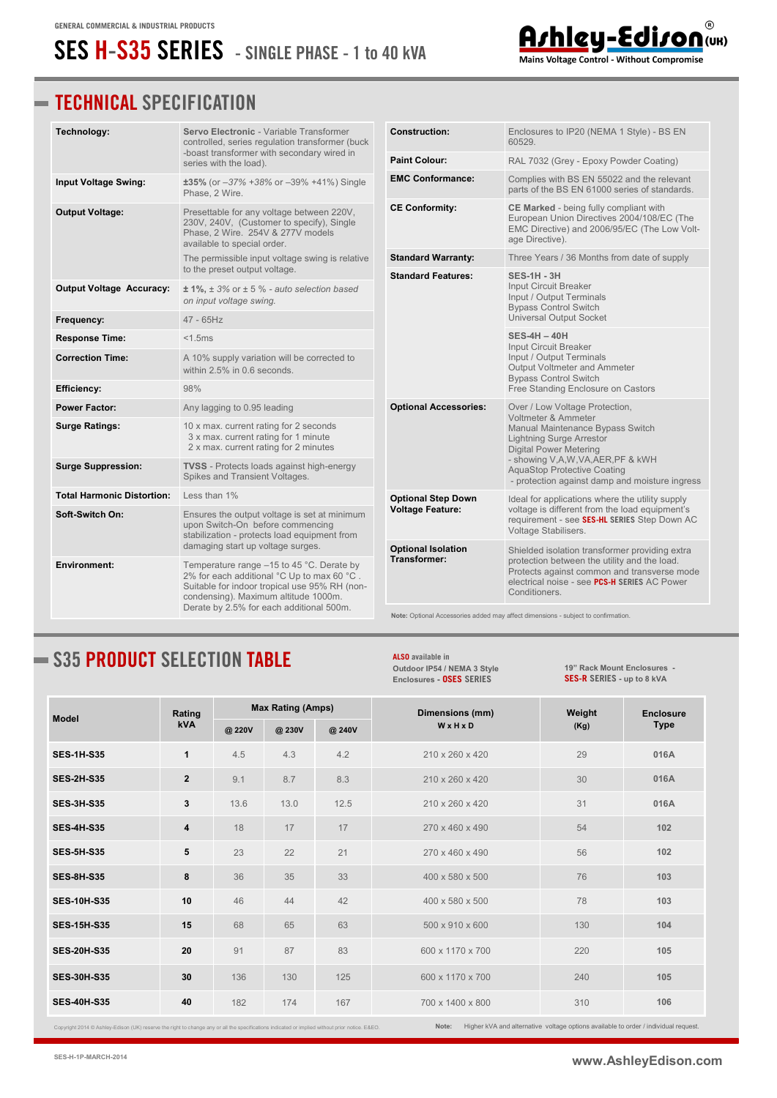# **SES H-S35 SERIES - SINGLE PHASE - 1 to 40 kVA**

### **TECHNICAL SPECIFICATION**

| Technology:                       | Servo Electronic - Variable Transformer<br>controlled, series regulation transformer (buck                                                                                                                                                                          | <b>Construction:</b>                      | Enclosures to IP20 (NEMA 1 Style) - BS EN<br>60529.                                                                                                                                                                             |  |  |
|-----------------------------------|---------------------------------------------------------------------------------------------------------------------------------------------------------------------------------------------------------------------------------------------------------------------|-------------------------------------------|---------------------------------------------------------------------------------------------------------------------------------------------------------------------------------------------------------------------------------|--|--|
|                                   | -boast transformer with secondary wired in<br>series with the load).                                                                                                                                                                                                | <b>Paint Colour:</b>                      | RAL 7032 (Grey - Epoxy Powder Coating)                                                                                                                                                                                          |  |  |
| <b>Input Voltage Swing:</b>       | ±35% (or -37% +38% or -39% +41%) Single<br>Phase, 2 Wire.                                                                                                                                                                                                           | <b>EMC Conformance:</b>                   | Complies with BS EN 55022 and the relevant<br>parts of the BS EN 61000 series of standards.                                                                                                                                     |  |  |
| <b>Output Voltage:</b>            | Presettable for any voltage between 220V,<br>230V, 240V, (Customer to specify), Single<br>Phase, 2 Wire. 254V & 277V models<br>available to special order.                                                                                                          | <b>CE Conformity:</b>                     | <b>CE Marked</b> - being fully compliant with<br>European Union Directives 2004/108/EC (The<br>EMC Directive) and 2006/95/EC (The Low Volt-<br>age Directive).                                                                  |  |  |
|                                   | The permissible input voltage swing is relative                                                                                                                                                                                                                     | <b>Standard Warranty:</b>                 | Three Years / 36 Months from date of supply                                                                                                                                                                                     |  |  |
| <b>Output Voltage Accuracy:</b>   | to the preset output voltage.<br>$± 1\%$ , $± 3\%$ or $± 5\%$ - auto selection based<br>on input voltage swing.                                                                                                                                                     | <b>Standard Features:</b>                 | <b>SES-1H - 3H</b><br>Input Circuit Breaker<br>Input / Output Terminals<br><b>Bypass Control Switch</b>                                                                                                                         |  |  |
| Frequency:                        | $47 - 65$ Hz                                                                                                                                                                                                                                                        |                                           | Universal Output Socket                                                                                                                                                                                                         |  |  |
| <b>Response Time:</b>             | $<$ 1.5 $ms$                                                                                                                                                                                                                                                        |                                           | <b>SES-4H-40H</b><br>Input Circuit Breaker                                                                                                                                                                                      |  |  |
| <b>Correction Time:</b>           | A 10% supply variation will be corrected to<br>within $2.5\%$ in 0.6 seconds.                                                                                                                                                                                       |                                           | Input / Output Terminals<br>Output Voltmeter and Ammeter<br><b>Bypass Control Switch</b>                                                                                                                                        |  |  |
| <b>Efficiency:</b>                | 98%                                                                                                                                                                                                                                                                 |                                           | Free Standing Enclosure on Castors                                                                                                                                                                                              |  |  |
| <b>Power Factor:</b>              | Any lagging to 0.95 leading                                                                                                                                                                                                                                         | <b>Optional Accessories:</b>              | Over / Low Voltage Protection,<br>Voltmeter & Ammeter                                                                                                                                                                           |  |  |
| <b>Surge Ratings:</b>             | 10 x max. current rating for 2 seconds<br>3 x max. current rating for 1 minute<br>2 x max. current rating for 2 minutes                                                                                                                                             |                                           | Manual Maintenance Bypass Switch<br><b>Lightning Surge Arrestor</b><br><b>Digital Power Metering</b><br>- showing V,A,W,VA,AER,PF & kWH<br><b>AquaStop Protective Coating</b><br>- protection against damp and moisture ingress |  |  |
| <b>Surge Suppression:</b>         | TVSS - Protects loads against high-energy<br>Spikes and Transient Voltages.                                                                                                                                                                                         |                                           |                                                                                                                                                                                                                                 |  |  |
| <b>Total Harmonic Distortion:</b> | Less than 1%                                                                                                                                                                                                                                                        | <b>Optional Step Down</b>                 | Ideal for applications where the utility supply                                                                                                                                                                                 |  |  |
| Soft-Switch On:                   | Ensures the output voltage is set at minimum<br>upon Switch-On before commencing<br>stabilization - protects load equipment from                                                                                                                                    | <b>Voltage Feature:</b>                   | voltage is different from the load equipment's<br>requirement - see SES-HL SERIES Step Down AC<br>Voltage Stabilisers.                                                                                                          |  |  |
| <b>Environment:</b>               | damaging start up voltage surges.<br>Temperature range $-15$ to 45 °C. Derate by<br>2% for each additional °C Up to max 60 °C.<br>Suitable for indoor tropical use 95% RH (non-<br>condensing). Maximum altitude 1000m.<br>Derate by 2.5% for each additional 500m. | <b>Optional Isolation</b><br>Transformer: | Shielded isolation transformer providing extra<br>protection between the utility and the load.<br>Protects against common and transverse mode<br>electrical noise - see PCS-H SERIES AC Power<br>Conditioners.                  |  |  |
|                                   |                                                                                                                                                                                                                                                                     |                                           | Note: Optional Accessories added may affect dimensions - subject to confirmation.                                                                                                                                               |  |  |

## **S35 PRODUCT SELECTION TABLE**

**ALSO available in [Outdoor IP54 / NEMA 3 Style](http://www.ashleyedison.com/dds/OSES-H-S.pdf) Enclosures - OSES SERIES**

**[19" Rack Mount Enclosures](http://www.ashleyedison.com/dds/SES-H-R.pdf) - SES-R SERIES - up to 8 kVA**

| <b>Model</b>                                                                                                                                   | Rating         | <b>Max Rating (Amps)</b> |        |        | Dimensions (mm)  | Weight                                                                              | <b>Enclosure</b> |
|------------------------------------------------------------------------------------------------------------------------------------------------|----------------|--------------------------|--------|--------|------------------|-------------------------------------------------------------------------------------|------------------|
|                                                                                                                                                | <b>kVA</b>     | @ 220V                   | @ 230V | @ 240V | WxHxD            | (Kg)                                                                                | <b>Type</b>      |
| <b>SES-1H-S35</b>                                                                                                                              | 1              | 4.5                      | 4.3    | 4.2    | 210 x 260 x 420  | 29                                                                                  | 016A             |
| <b>SES-2H-S35</b>                                                                                                                              | $\overline{2}$ | 9.1                      | 8.7    | 8.3    | 210 x 260 x 420  | 30                                                                                  | 016A             |
| <b>SES-3H-S35</b>                                                                                                                              | 3              | 13.6                     | 13.0   | 12.5   | 210 x 260 x 420  | 31                                                                                  | 016A             |
| <b>SES-4H-S35</b>                                                                                                                              | 4              | 18                       | 17     | 17     | 270 x 460 x 490  | 54                                                                                  | 102              |
| <b>SES-5H-S35</b>                                                                                                                              | 5              | 23                       | 22     | 21     | 270 x 460 x 490  | 56                                                                                  | 102              |
| <b>SES-8H-S35</b>                                                                                                                              | 8              | 36                       | 35     | 33     | 400 x 580 x 500  | 76                                                                                  | 103              |
| <b>SES-10H-S35</b>                                                                                                                             | 10             | 46                       | 44     | 42     | 400 x 580 x 500  | 78                                                                                  | 103              |
| <b>SES-15H-S35</b>                                                                                                                             | 15             | 68                       | 65     | 63     | 500 x 910 x 600  | 130                                                                                 | 104              |
| <b>SES-20H-S35</b>                                                                                                                             | 20             | 91                       | 87     | 83     | 600 x 1170 x 700 | 220                                                                                 | 105              |
| <b>SES-30H-S35</b>                                                                                                                             | 30             | 136                      | 130    | 125    | 600 x 1170 x 700 | 240                                                                                 | 105              |
| <b>SES-40H-S35</b>                                                                                                                             | 40             | 182                      | 174    | 167    | 700 x 1400 x 800 | 310                                                                                 | 106              |
| Copyright 2014 © Ashley-Edison (UK) reserve the right to change any or all the specifications indicated or implied without prior notice. E&EO. |                |                          |        |        | Note:            | Higher kVA and alternative voltage options available to order / individual request. |                  |

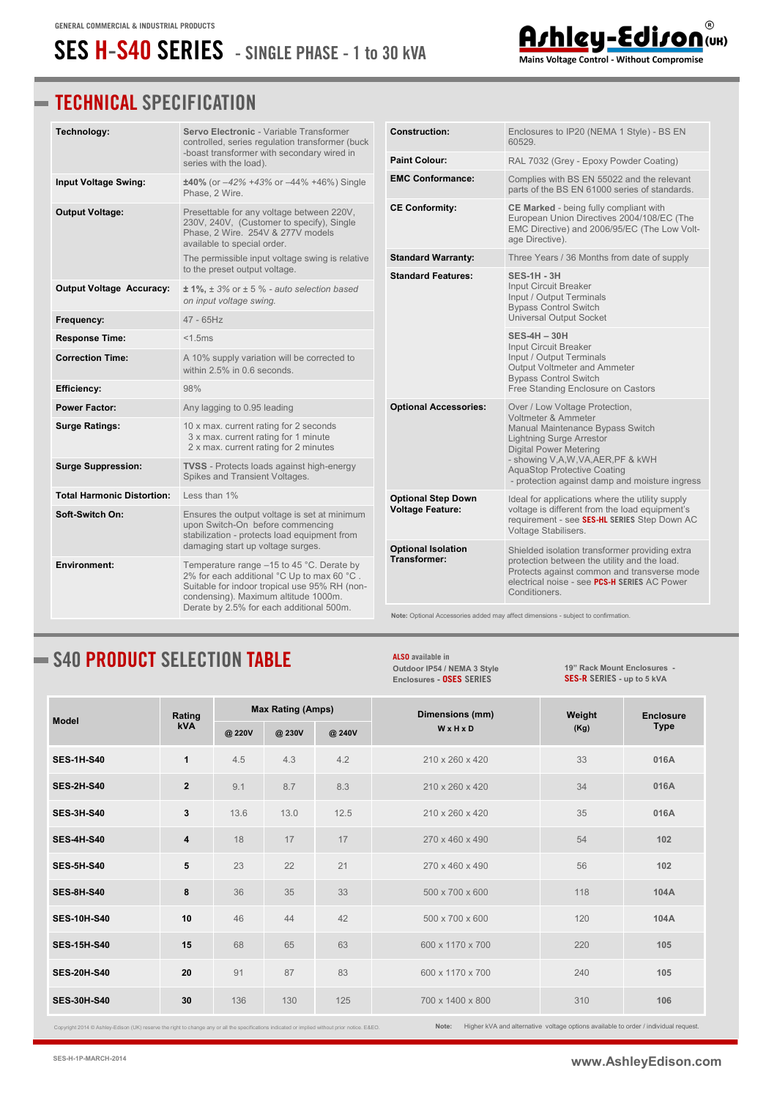## **SES H-S40 SERIES - SINGLE PHASE - 1 to 30 kVA**

### **TECHNICAL SPECIFICATION**

| Technology:                       | Servo Electronic - Variable Transformer<br>controlled, series regulation transformer (buck                                                                                         | <b>Construction:</b>                                                                                                                                                                                                                                                                                                           | Enclosures to IP20 (NEMA 1 Style) - BS EN<br>60529.                                                                                                                                                                                                                                                                                                                                                                                                                                                                                                                                                         |
|-----------------------------------|------------------------------------------------------------------------------------------------------------------------------------------------------------------------------------|--------------------------------------------------------------------------------------------------------------------------------------------------------------------------------------------------------------------------------------------------------------------------------------------------------------------------------|-------------------------------------------------------------------------------------------------------------------------------------------------------------------------------------------------------------------------------------------------------------------------------------------------------------------------------------------------------------------------------------------------------------------------------------------------------------------------------------------------------------------------------------------------------------------------------------------------------------|
|                                   | -boast transformer with secondary wired in<br>series with the load).                                                                                                               | <b>Paint Colour:</b>                                                                                                                                                                                                                                                                                                           | RAL 7032 (Grey - Epoxy Powder Coating)                                                                                                                                                                                                                                                                                                                                                                                                                                                                                                                                                                      |
| <b>Input Voltage Swing:</b>       | ±40% (or -42% +43% or -44% +46%) Single<br>Phase, 2 Wire.                                                                                                                          | <b>EMC Conformance:</b>                                                                                                                                                                                                                                                                                                        | Complies with BS EN 55022 and the relevant<br>parts of the BS EN 61000 series of standards.                                                                                                                                                                                                                                                                                                                                                                                                                                                                                                                 |
| <b>Output Voltage:</b>            | Presettable for any voltage between 220V,<br>230V, 240V, (Customer to specify), Single<br>Phase, 2 Wire. 254V & 277V models<br>available to special order.                         | <b>CE Conformity:</b>                                                                                                                                                                                                                                                                                                          | CE Marked - being fully compliant with<br>European Union Directives 2004/108/EC (The<br>EMC Directive) and 2006/95/EC (The Low Volt-<br>age Directive).                                                                                                                                                                                                                                                                                                                                                                                                                                                     |
|                                   | The permissible input voltage swing is relative<br>to the preset output voltage.                                                                                                   | <b>Standard Warranty:</b>                                                                                                                                                                                                                                                                                                      | Three Years / 36 Months from date of supply                                                                                                                                                                                                                                                                                                                                                                                                                                                                                                                                                                 |
| Output Voltage Accuracy:          | $\pm$ 1%, $\pm$ 3% or $\pm$ 5 % - auto selection based<br>on input voltage swing.                                                                                                  | <b>Standard Features:</b>                                                                                                                                                                                                                                                                                                      | <b>SES-1H - 3H</b><br>Input Circuit Breaker<br>Input / Output Terminals<br><b>Bypass Control Switch</b>                                                                                                                                                                                                                                                                                                                                                                                                                                                                                                     |
| Frequency:                        | $47 - 65$ Hz                                                                                                                                                                       |                                                                                                                                                                                                                                                                                                                                |                                                                                                                                                                                                                                                                                                                                                                                                                                                                                                                                                                                                             |
| <b>Response Time:</b>             | < 1.5ms                                                                                                                                                                            |                                                                                                                                                                                                                                                                                                                                | <b>SES-4H-30H</b>                                                                                                                                                                                                                                                                                                                                                                                                                                                                                                                                                                                           |
| <b>Correction Time:</b>           | A 10% supply variation will be corrected to<br>within 2.5% in 0.6 seconds.                                                                                                         |                                                                                                                                                                                                                                                                                                                                | Input / Output Terminals<br>Output Voltmeter and Ammeter                                                                                                                                                                                                                                                                                                                                                                                                                                                                                                                                                    |
| Efficiency:                       | 98%                                                                                                                                                                                | <b>Universal Output Socket</b><br>Input Circuit Breaker<br><b>Bypass Control Switch</b><br>Free Standing Enclosure on Castors<br><b>Optional Accessories:</b><br>Over / Low Voltage Protection,<br>Voltmeter & Ammeter<br>Manual Maintenance Bypass Switch<br><b>Lightning Surge Arrestor</b><br><b>Digital Power Metering</b> |                                                                                                                                                                                                                                                                                                                                                                                                                                                                                                                                                                                                             |
| <b>Power Factor:</b>              | Any lagging to 0.95 leading                                                                                                                                                        |                                                                                                                                                                                                                                                                                                                                |                                                                                                                                                                                                                                                                                                                                                                                                                                                                                                                                                                                                             |
| <b>Surge Ratings:</b>             | 10 x max. current rating for 2 seconds<br>3 x max. current rating for 1 minute<br>2 x max. current rating for 2 minutes                                                            |                                                                                                                                                                                                                                                                                                                                |                                                                                                                                                                                                                                                                                                                                                                                                                                                                                                                                                                                                             |
| <b>Surge Suppression:</b>         | <b>TVSS</b> - Protects loads against high-energy<br>Spikes and Transient Voltages.                                                                                                 |                                                                                                                                                                                                                                                                                                                                | - showing V,A,W,VA,AER,PF & kWH<br><b>AquaStop Protective Coating</b><br>- protection against damp and moisture ingress<br>Ideal for applications where the utility supply<br>voltage is different from the load equipment's<br>requirement - see SES-HL SERIES Step Down AC<br>Voltage Stabilisers.<br>Shielded isolation transformer providing extra<br>protection between the utility and the load.<br>Protects against common and transverse mode<br>electrical noise - see PCS-H SERIES AC Power<br>Conditioners.<br>Note: Optional Accessories added may affect dimensions - subject to confirmation. |
| <b>Total Harmonic Distortion:</b> | Less than 1%                                                                                                                                                                       | <b>Optional Step Down</b>                                                                                                                                                                                                                                                                                                      |                                                                                                                                                                                                                                                                                                                                                                                                                                                                                                                                                                                                             |
| Soft-Switch On:                   | Ensures the output voltage is set at minimum<br>upon Switch-On before commencing<br>stabilization - protects load equipment from                                                   | <b>Voltage Feature:</b>                                                                                                                                                                                                                                                                                                        |                                                                                                                                                                                                                                                                                                                                                                                                                                                                                                                                                                                                             |
|                                   | damaging start up voltage surges.                                                                                                                                                  | <b>Optional Isolation</b><br>Transformer:                                                                                                                                                                                                                                                                                      |                                                                                                                                                                                                                                                                                                                                                                                                                                                                                                                                                                                                             |
| Environment:                      | Temperature range $-15$ to 45 °C. Derate by<br>2% for each additional °C Up to max 60 °C.<br>Suitable for indoor tropical use 95% RH (non-<br>condensing). Maximum altitude 1000m. |                                                                                                                                                                                                                                                                                                                                |                                                                                                                                                                                                                                                                                                                                                                                                                                                                                                                                                                                                             |
|                                   | Derate by 2.5% for each additional 500m.                                                                                                                                           |                                                                                                                                                                                                                                                                                                                                |                                                                                                                                                                                                                                                                                                                                                                                                                                                                                                                                                                                                             |

### **S40 PRODUCT SELECTION TABLE**

**ALSO available in [Outdoor IP54 / NEMA 3 Style](http://www.ashleyedison.com/dds/OSES-H-S.pdf) Enclosures - OSES SERIES**

**[19" Rack Mount Enclosures](http://www.ashleyedison.com/dds/SES-H-R.pdf) - SES-R SERIES - up to 5 kVA**

 $^\copyright$ 

Arhicy-Ediron (UR)

| <b>Model</b>       | Rating         | <b>Max Rating (Amps)</b> |        |        | Dimensions (mm)  | Weight | <b>Enclosure</b> |
|--------------------|----------------|--------------------------|--------|--------|------------------|--------|------------------|
|                    | <b>kVA</b>     | @ 220V                   | @ 230V | @ 240V | WxHxD            | (Kg)   | <b>Type</b>      |
| <b>SES-1H-S40</b>  | $\mathbf{1}$   | 4.5                      | 4.3    | 4.2    | 210 x 260 x 420  | 33     | 016A             |
| <b>SES-2H-S40</b>  | $\overline{2}$ | 9.1                      | 8.7    | 8.3    | 210 x 260 x 420  | 34     | 016A             |
| <b>SES-3H-S40</b>  | 3              | 13.6                     | 13.0   | 12.5   | 210 x 260 x 420  | 35     | 016A             |
| <b>SES-4H-S40</b>  | $\overline{4}$ | 18                       | 17     | 17     | 270 x 460 x 490  | 54     | 102              |
| <b>SES-5H-S40</b>  | 5              | 23                       | 22     | 21     | 270 x 460 x 490  | 56     | 102              |
| <b>SES-8H-S40</b>  | 8              | 36                       | 35     | 33     | 500 x 700 x 600  | 118    | 104A             |
| <b>SES-10H-S40</b> | 10             | 46                       | 44     | 42     | 500 x 700 x 600  | 120    | 104A             |
| <b>SES-15H-S40</b> | 15             | 68                       | 65     | 63     | 600 x 1170 x 700 | 220    | 105              |
| <b>SES-20H-S40</b> | 20             | 91                       | 87     | 83     | 600 x 1170 x 700 | 240    | 105              |
| <b>SES-30H-S40</b> | 30             | 136                      | 130    | 125    | 700 x 1400 x 800 | 310    | 106              |

Copyright 2014 © Ashley-Edison (UK) reserve the right to change any or all the specifications indicated or implied without prior notice. E&EO.

**Note:** Higher kVA and alternative voltage options available to order / individual request.